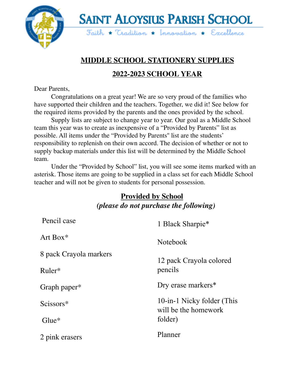

**SAINT ALOYSIUS PARISH SCHOOL**  $5$ aith \* Tradition \* Innovation \* Excellence

# **MIDDLE SCHOOL STATIONERY SUPPLIES**

#### **2022-2023 SCHOOL YEAR**

Dear Parents,

Congratulations on a great year! We are so very proud of the families who have supported their children and the teachers. Together, we did it! See below for the required items provided by the parents and the ones provided by the school.

Supply lists are subject to change year to year. Our goal as a Middle School team this year was to create as inexpensive of a "Provided by Parents" list as possible. All items under the "Provided by Parents'' list are the students' responsibility to replenish on their own accord. The decision of whether or not to supply backup materials under this list will be determined by the Middle School team.

Under the "Provided by School" list, you will see some items marked with an asterisk. Those items are going to be supplied in a class set for each Middle School teacher and will not be given to students for personal possession.

#### **Provided by School** *(please do not purchase the following)*

| Pencil case            | 1 Black Sharpie*                                   |
|------------------------|----------------------------------------------------|
| Art Box $*$            | <b>Notebook</b>                                    |
| 8 pack Crayola markers | 12 pack Crayola colored                            |
| $Ruler*$               | pencils                                            |
| Graph paper*           | Dry erase markers*                                 |
| Scissors*              | 10-in-1 Nicky folder (This<br>will be the homework |
| $Glue*$                | folder)                                            |
| 2 pink erasers         | Planner                                            |